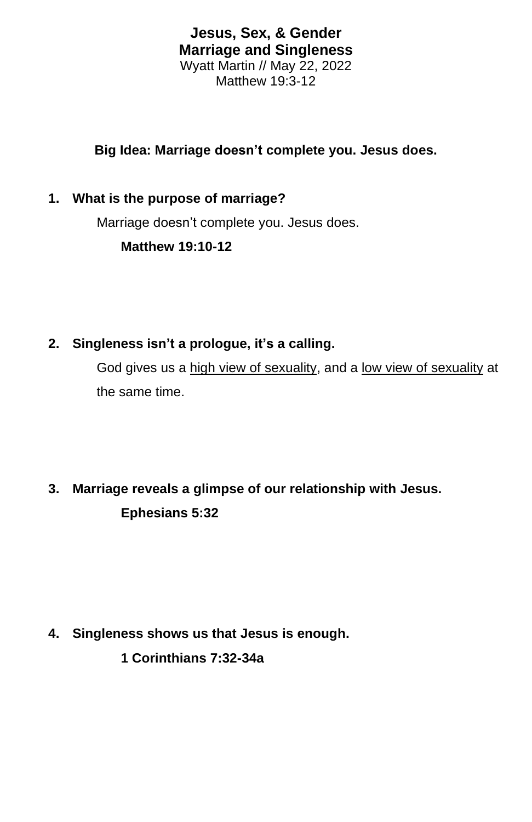**Jesus, Sex, & Gender Marriage and Singleness** Wyatt Martin // May 22, 2022 Matthew 19:3-12

## **Big Idea: Marriage doesn't complete you. Jesus does.**

#### **1. What is the purpose of marriage?**

Marriage doesn't complete you. Jesus does.

**Matthew 19:10-12**

**2. Singleness isn't a prologue, it's a calling.**

God gives us a high view of sexuality, and a low view of sexuality at the same time.

## **3. Marriage reveals a glimpse of our relationship with Jesus. Ephesians 5:32**

# **4. Singleness shows us that Jesus is enough.**

**1 Corinthians 7:32-34a**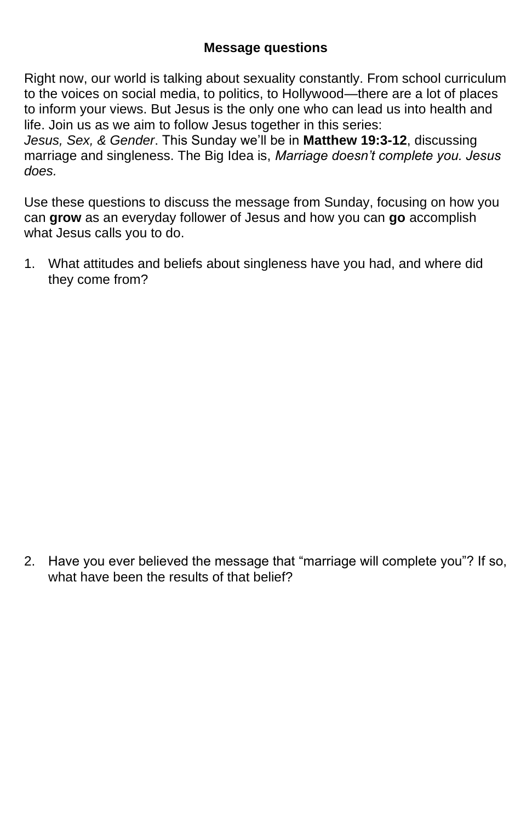### **Message questions**

Right now, our world is talking about sexuality constantly. From school curriculum to the voices on social media, to politics, to Hollywood—there are a lot of places to inform your views. But Jesus is the only one who can lead us into health and life. Join us as we aim to follow Jesus together in this series:

*Jesus, Sex, & Gender*. This Sunday we'll be in **Matthew 19:3-12**, discussing marriage and singleness. The Big Idea is, *Marriage doesn't complete you. Jesus does.*

Use these questions to discuss the message from Sunday, focusing on how you can **grow** as an everyday follower of Jesus and how you can **go** accomplish what Jesus calls you to do.

1. What attitudes and beliefs about singleness have you had, and where did they come from?

2. Have you ever believed the message that "marriage will complete you"? If so, what have been the results of that belief?